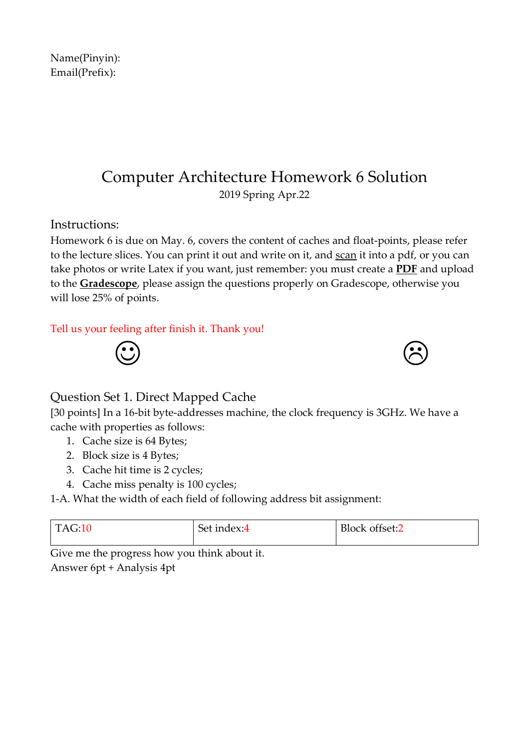Computer Architecture Homework 6 Solution 2019 Spring Apr.22

Instructions:

Homework 6 is due on May. 6, covers the content of caches and float-points, please refer to the lecture slices. You can print it out and write on it, and scan it into a pdf, or you can take photos or write Latex if you want, just remember: you must create a **PDF** and upload to the **Gradescope**, please assign the questions properly on Gradescope, otherwise you will lose 25% of points.

### Tell us your feeling after finish it. Thank you!



# Question Set 1. Direct Mapped Cache

[30 points] In a 16-bit byte-addresses machine, the clock frequency is 3GHz. We have a cache with properties as follows:

- 1. Cache size is 64 Bytes;
- 2. Block size is 4 Bytes;
- 3. Cache hit time is 2 cycles;
- 4. Cache miss penalty is 100 cycles;

1-A. What the width of each field of following address bit assignment:

| $T\Delta C.10$ | Set index:4 | Block offset:2 |
|----------------|-------------|----------------|
|                |             |                |

Give me the progress how you think about it. Answer 6pt + Analysis 4pt

Name(Pinyin): Email(Prefix):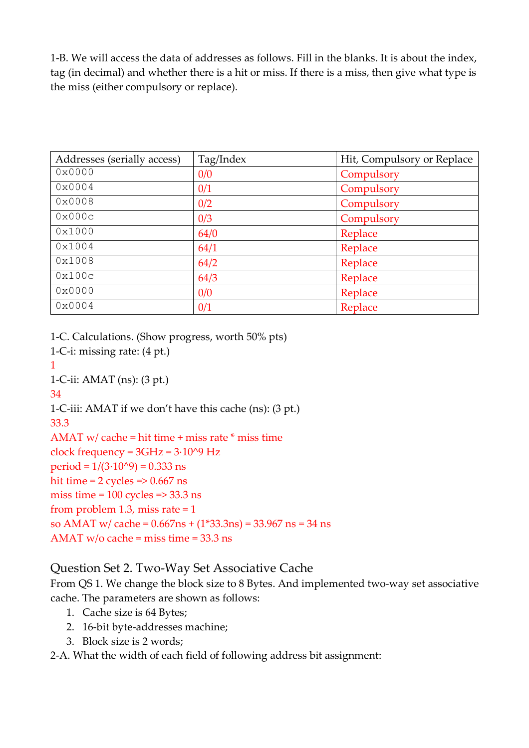1-B. We will access the data of addresses as follows. Fill in the blanks. It is about the index, tag (in decimal) and whether there is a hit or miss. If there is a miss, then give what type is the miss (either compulsory or replace).

| Addresses (serially access) | Tag/Index | Hit, Compulsory or Replace |
|-----------------------------|-----------|----------------------------|
| 0x0000                      | 0/0       | Compulsory                 |
| 0x0004                      | 0/1       | Compulsory                 |
| 0x0008                      | 0/2       | Compulsory                 |
| 0x000c                      | 0/3       | Compulsory                 |
| 0x1000                      | 64/0      | Replace                    |
| 0x1004                      | 64/1      | Replace                    |
| 0x1008                      | 64/2      | Replace                    |
| 0x100c                      | 64/3      | Replace                    |
| 0x0000                      | 0/0       | Replace                    |
| 0x0004                      | 0/1       | Replace                    |

1-C. Calculations. (Show progress, worth 50% pts)

1-C-i: missing rate: (4 pt.)

1

1-C-ii: AMAT (ns): (3 pt.)

34

1-C-iii: AMAT if we don't have this cache (ns): (3 pt.)

33.3

AMAT  $w$  cache = hit time + miss rate  $*$  miss time clock frequency =  $3GHz = 3.10^{9} Hz$ period =  $1/(3.10^{9}) = 0.333$  ns hit time =  $2$  cycles =  $> 0.667$  ns miss time =  $100$  cycles =>  $33.3$  ns from problem 1.3, miss rate  $= 1$ so AMAT w/ cache = 0.667ns + (1\*33.3ns) = 33.967 ns = 34 ns AMAT w/o cache = miss time = 33.3 ns

# Question Set 2. Two-Way Set Associative Cache

From QS 1. We change the block size to 8 Bytes. And implemented two-way set associative cache. The parameters are shown as follows:

- 1. Cache size is 64 Bytes;
- 2. 16-bit byte-addresses machine;
- 3. Block size is 2 words;

2-A. What the width of each field of following address bit assignment: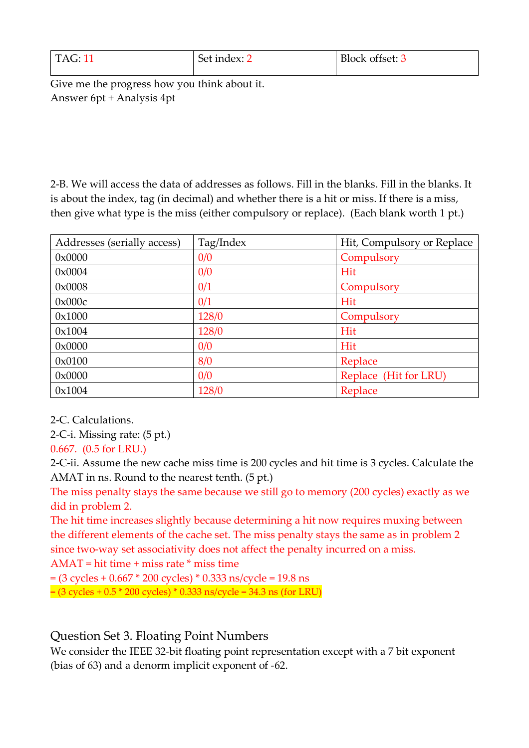| <b>TAG: 11</b> | Set index: 2 | Block offset: 3 |
|----------------|--------------|-----------------|
|                |              |                 |

Give me the progress how you think about it. Answer 6pt + Analysis 4pt

2-B. We will access the data of addresses as follows. Fill in the blanks. Fill in the blanks. It is about the index, tag (in decimal) and whether there is a hit or miss. If there is a miss, then give what type is the miss (either compulsory or replace). (Each blank worth 1 pt.)

| Addresses (serially access) | Tag/Index | Hit, Compulsory or Replace |
|-----------------------------|-----------|----------------------------|
| $0 \times 0000$             | 0/0       | Compulsory                 |
| 0x0004                      | 0/0       | Hit                        |
| 0x0008                      | 0/1       | Compulsory                 |
| 0x000c                      | 0/1       | Hit                        |
| 0x1000                      | 128/0     | Compulsory                 |
| 0x1004                      | 128/0     | Hit                        |
| $0 \times 0000$             | 0/0       | Hit                        |
| 0x0100                      | 8/0       | Replace                    |
| 0x0000                      | 0/0       | Replace (Hit for LRU)      |
| 0x1004                      | 128/0     | Replace                    |

2-C. Calculations.

2-C-i. Missing rate: (5 pt.)

0.667. (0.5 for LRU.)

2-C-ii. Assume the new cache miss time is 200 cycles and hit time is 3 cycles. Calculate the AMAT in ns. Round to the nearest tenth. (5 pt.)

The miss penalty stays the same because we still go to memory (200 cycles) exactly as we did in problem 2.

The hit time increases slightly because determining a hit now requires muxing between the different elements of the cache set. The miss penalty stays the same as in problem 2 since two-way set associativity does not affect the penalty incurred on a miss.

AMAT = hit time + miss rate \* miss time

 $= (3 \text{ cycles} + 0.667 \times 200 \text{ cycles}) \times 0.333 \text{ ns/cycle} = 19.8 \text{ ns}$ 

= (3 cycles + 0.5 \* 200 cycles) \* 0.333 ns/cycle = 34.3 ns (for LRU)

# Question Set 3. Floating Point Numbers

We consider the IEEE 32-bit floating point representation except with a 7 bit exponent (bias of 63) and a denorm implicit exponent of -62.